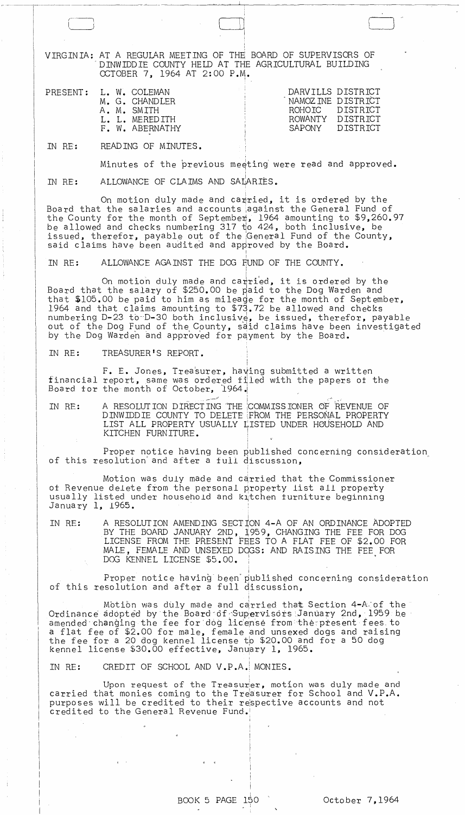" VIRGINIA: AT A REGULAR MEETING OF THE BOARD OF SUPERVISORS OF "DINWIDDIE COUNTY HELD AT THE AGRICULTURAL BUILDING OCTOBER 7, 1964 AT 2:00 P.M.

0,

! I

!

 $\bigcup$ 

| DARVILLS DISTRICT<br>NAMOZINE DISTRICT<br>ROHOIC DISTRICT<br>ROWANTY DISTRICT<br>DISTRICT<br>SAPONY |
|-----------------------------------------------------------------------------------------------------|
|                                                                                                     |

IN RE: READING OF MINUTES.

Minutes of the previous meeting were read and approved.

IN RE: ALLOWANCE OF CLAIMS AND SALARIES.

On motion duly made and ca $\pi$ ried, it is ordered by the Board that the salaries and accounts iagainst the General Fund of the County for the month of September, 1964 amounting to \$9,260.97 be allowed and checks numbering 317 to 424, both inclusive, be issued, therefor, payable out of the General Fund of the County, said claims have been audited and approved by the Board.

IN RE: ALLOWANCE AGAINST THE DOG FUND OF THE COUNTY. i

On motion duly made and carried, it is ordered by the Board that the salary of \$250.00 be paid to the Dog Warden and that \$105.00 be paid to him as mileade for the month of September, 1964 and that claims amounting to \$73.72 be allowed and chetks numbering D-23 to D-30 both inclusive, be issued, therefor, payable out of the Dog Fund of the County, said claims have been investigated by the Dog Warden and approved for payment by the Board. IT THE DOG FUND OF THE COUNTY.<br>
Nade and carried, it is ordered by the<br>
250.00 be paid to the Dog Warden and<br>
m as mileage for the month of Septembe<br>
ting to \$73.72 be allowed and checks<br>
the inclusive, be issued, therefor

I

I

IN RE: TREASURER'S REPORT.

F. E. Jones, Treasurer, having submitted a written financial report, same Board for the month of was ordered filed October, 1964. with the papers ot the

IN RE: A RESOLUTION DIRECTING 'THE :COMMISSIONER OF REVENUE OF DINWIDDIE COUNTY TO DELETE FROM THE PERSONAL PROPERTY LIST ALL PROPERTY USUALLY LISTED UNDER HOUSEHOLD AND KITCHEN FURNITURE. ,

Proper notice having been published concerning consideration of this resolution' and after a tull discusslon, '

,

Motion was duly made and carried that the Commissioner ot Revenue delete from the personal property list all property usually listed under household and k~tchen turniture beginning January 1, *1965.* . ,

IN RE: A RESOLUTION AMENDING SECTioN 4-A OF AN ORDINANCE ADOPTED BY THE BOARD JANUARY 2ND, 1959, CHANGING THE FEE FOR DOG LICENSE FROM THE PRESENT FEES TO A FLAT FEE OF \$2.00 FOR MALE, FEMALE AND UNSEXED DOGS: AND RAISING THE FEE FOR DOG KENNEL LICENSE \$5.00.

i Proper notice having been'published concerning consideration of this resolution and after a full discussion,

Motion was duly made and carried that Section 4-A.of the Ordinance adopted by the Board-6f-Supervisors January 2nd, 1959 be amended changing the fee for dog license from the present fees to a flat fee of \$2.00 for male, female and unsexed dogs and raising<br>the fee for a 20 dog kennel license to \$20.00 and for a 50 dog ennel license \$30.00 effective, January 1, 1965.

I

IN RE: CREDIT OF SCHOOL AND V.P.A.! MONIES.

Upon request of the Treasurer, motion was duly made and carried that monies coming to the Treasurer for School and V.P.A. purposes will be credited to their respective accounts and not credited to the General Revenue Fund.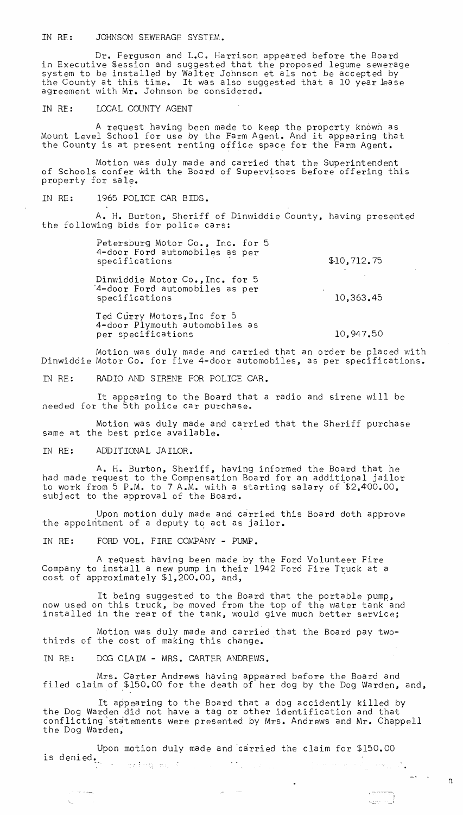IN RF: JOHNSON SEWERAGE SYSTFM.

Dr. Ferguson and L.C. Harrison appeared before the Board in Executive Session and suggested that the proposed legume sewerage system to be installed by Walter Johnson et als not be accepted by the County at this time. It was also suggested that a 10 year lease agreement with Mr. Johnson be considered.

## IN RE: LOCAL COUNTY AGENT

A request having been made to keep the property known as Mount Level School for use by the Farm Agent. And it appearing that the County is at present renting office space for the Farm Agent.

Motion was duly made and carried that the Superintendent of Schools confer with the Board of Supervisors before offering this property for sale.

IN RE: 1965 POLICE CAR BIDS.

A. H. Burton, Sheriff of Dinwiddie County, having presented the following bids for police cars:

| Petersburg Motor Co., Inc. for 5 |  |  |
|----------------------------------|--|--|
| 4-door Ford automobiles as per   |  |  |
| specifications                   |  |  |
|                                  |  |  |

Dinwiddie Motor Co.,Inc. for 5 '4-door Ford automobiles as per specifications

Ted Curry Motors, Inc for 5 4-door Plymouth automobiles as per specifications

10,947.50

10,363.45

\$10,712.75

Motion was duly made and carried that an order be placed with Dinwiddie Motor Co. for five 4-door automobiles, as per specifications.

IN RE: RADIO AND SIRENE FOR POLICE CAR.

It appearing to the Board that a radio and sirene will be needed for the 5th police car purchase.

Motion was duly made and carried that the Sheriff purchase same at the best price available.

IN RE: ADDITIONAL JAILOR.

A. H. Burton, Sheriff, having informed the Board that he had made request to the Compensation Board for an additional jailor to work from 5 P.M. to 7 A.M. with a starting salary of \$2,400.00, subject to the approval of the Board.

Upon motion duly made and carried this Board doth approve the appointment of a deputy to act as jailor.

IN RE: FORD VOL. FIRE COMPANY - PUMP.

A request having been made by the Ford Volunteer Fire Company to install a new pump in their 1942 Ford Fire Truck at a cost of approximately \$1,200.00, and,

It being suggested to the Board that the portable pump, now used on this truck, be moved from the top of the water tank and installed in the rear of the tank, would give much better service;

Motion was duly made and carried that the Board pay twothirds of the cost of making this change.

IN RE: DOG CLAIM - MRS. CARTER ANDREWS.

 $\zeta_{\rm in}$  . The  $\sim$ 

Mrs. Carter Andrews having appeared before the Board and filed claim of \$150.00 for the death of her dog by the Dog Warden, and,

It appearing to the Board that a dog accidently killed by the Dog Warden did not have a tag or other identification and that conflicting 'statements were presented by Mrs. Andrews and Mr. Chappell the Dog Warden;

 $\bullet$ 

Upon motion duly made and 'carried the claim for \$150.00 is denied.<br>The same many contracts of the contracts of the contracts of the contracts of the contracts of the contracts of<br> $\mathcal{L}_1$ an San Angela

n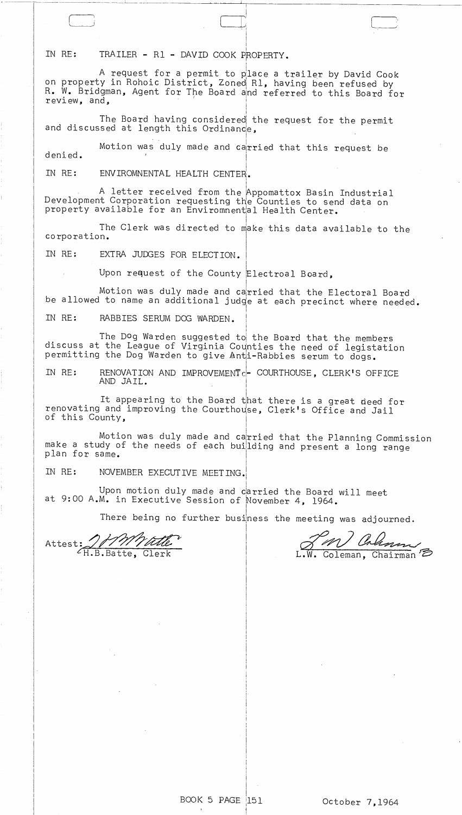IN RE: TRAILER - R1 - DAVID COOK PROPERTY.

------~--"--- ---~ ------~---------- -- -~--- ---~--

A request for a permit to place a trailer by David Cook on property in Rohoic District, Zoned Rl, having been refused by R. W. Bridgman, Agent for The Board and referred to this Board for  $revi$  ew, and,  $\begin{bmatrix} 1 & 1 & 1 \\ 1 & 1 & 1 \\ 1 & 1 & 1 \end{bmatrix}$ 

• I I I

I

The Board having considered the request for the permit<br>and discussed at length this Ordinance,

denied. Motion was duly made and carried that this request be i

IN RE: ENVIROMNENTAL HEALTH CENTER.

 $A$  letter received from the Appomattox Basin Industrial Development Corporation requesting the Counties to send data on property available for an Enviromnental Health Center.

The Clerk was directed to make this data available to the corporation.

IN RE: EXTRA JUDGES FOR ELECTION.

Upon request of the County Electroal Board,

Motion was duly made and carried that the Electoral Board be allowed to name an additional judge at each precinct where needed. I

i

IN RE: RABBIES SERUM DOG WARDEN.

The Dog Warden suggested to the Board that the members discuss at the League of Virginia Counties the need of legistation permitting the Dog Warden to give Anti-Rabbies serum to dogs.

IN RE: RENOVATION AND IMPROVEMENT<sub>C</sub>- COURTHOUSE, CLERK'S OFFICE AND JAIL.

It appearing to the Board that there is a great deed for renovating and improving the Courthouse, Clerk's Office and Jail of this County,

Motion was duly made and carried that the Planning Commission make a study of the needs of each building and present a long range plan for same. I

IN RE: NOVEMBER EXECUTIVE MEETING.

Upon motion duly made and carried the Board will meet at 9:00 A.M. in Executive Session of November 4, 1964.

There being no further business the meeting was adjourned.

I I

Attest: 1111/title

PM) Coleman

BOOK 5 PAGE  $|151$ 

i

j